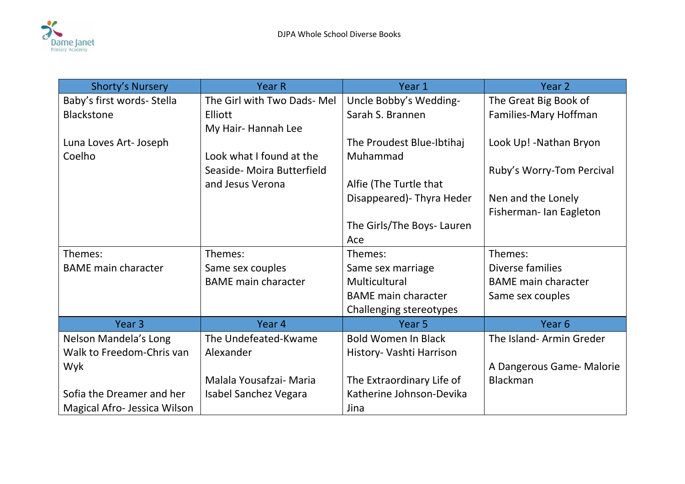

| <b>Shorty's Nursery</b>      | <b>Year R</b>               | Year 1                     | Year <sub>2</sub>          |
|------------------------------|-----------------------------|----------------------------|----------------------------|
| Baby's first words- Stella   | The Girl with Two Dads- Mel | Uncle Bobby's Wedding-     | The Great Big Book of      |
| <b>Blackstone</b>            | <b>Elliott</b>              | Sarah S. Brannen           | Families-Mary Hoffman      |
|                              | My Hair-Hannah Lee          |                            |                            |
| Luna Loves Art- Joseph       |                             | The Proudest Blue-Ibtihaj  | Look Up! - Nathan Bryon    |
| Coelho                       | Look what I found at the    | Muhammad                   |                            |
|                              | Seaside- Moira Butterfield  |                            | Ruby's Worry-Tom Percival  |
|                              | and Jesus Verona            | Alfie (The Turtle that     |                            |
|                              |                             | Disappeared) - Thyra Heder | Nen and the Lonely         |
|                              |                             |                            | Fisherman-Ian Eagleton     |
|                              |                             | The Girls/The Boys- Lauren |                            |
|                              |                             | Ace                        |                            |
| Themes:                      | Themes:                     | Themes:                    | Themes:                    |
| <b>BAME</b> main character   | Same sex couples            | Same sex marriage          | Diverse families           |
|                              | <b>BAME</b> main character  | Multicultural              | <b>BAME</b> main character |
|                              |                             | <b>BAME</b> main character | Same sex couples           |
|                              |                             | Challenging stereotypes    |                            |
| Year <sub>3</sub>            | Year 4                      | Year <sub>5</sub>          | Year 6                     |
| Nelson Mandela's Long        | The Undefeated-Kwame        | <b>Bold Women In Black</b> | The Island-Armin Greder    |
| Walk to Freedom-Chris van    | Alexander                   | History- Vashti Harrison   |                            |
| Wyk                          |                             |                            | A Dangerous Game- Malorie  |
|                              | Malala Yousafzai- Maria     | The Extraordinary Life of  | <b>Blackman</b>            |
| Sofia the Dreamer and her    | Isabel Sanchez Vegara       | Katherine Johnson-Devika   |                            |
| Magical Afro- Jessica Wilson |                             | Jina                       |                            |